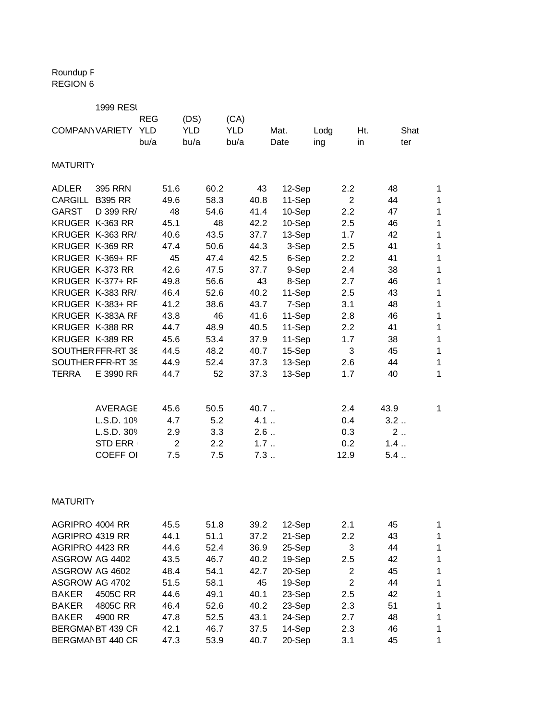## Roundup F REGION 6

|                        | <b>1999 RESI</b>  |            |                |            |      |            |      |        |       |      |                |      |      |              |
|------------------------|-------------------|------------|----------------|------------|------|------------|------|--------|-------|------|----------------|------|------|--------------|
|                        |                   | <b>REG</b> |                | (DS)       |      | (CA)       |      |        |       |      |                |      |      |              |
| <b>COMPANY VARIETY</b> |                   | <b>YLD</b> |                | <b>YLD</b> |      | <b>YLD</b> |      | Mat.   |       | Lodg | Ht.            |      | Shat |              |
|                        |                   | bu/a       |                | bu/a       |      | bu/a       |      | Date   |       | ing  | in             |      | ter  |              |
| <b>MATURITY</b>        |                   |            |                |            |      |            |      |        |       |      |                |      |      |              |
| <b>ADLER</b>           | 395 RRN           |            | 51.6           |            | 60.2 |            | 43   | 12-Sep |       |      | 2.2            | 48   |      | 1            |
| CARGILL                | <b>B395 RR</b>    |            | 49.6           |            | 58.3 |            | 40.8 | 11-Sep |       |      | $\overline{2}$ | 44   |      | $\mathbf 1$  |
| <b>GARST</b>           | D 399 RR/         |            | 48             |            | 54.6 |            | 41.4 | 10-Sep |       |      | 2.2            | 47   |      | $\mathbf 1$  |
| KRUGER K-363 RR        |                   |            | 45.1           |            | 48   |            | 42.2 | 10-Sep |       |      | 2.5            | 46   |      | $\mathbf 1$  |
|                        | KRUGER K-363 RR/  |            | 40.6           |            | 43.5 |            | 37.7 | 13-Sep |       |      | 1.7            | 42   |      | $\mathbf 1$  |
| KRUGER K-369 RR        |                   |            | 47.4           |            | 50.6 |            | 44.3 |        | 3-Sep |      | 2.5            | 41   |      | $\mathbf 1$  |
|                        | KRUGER K-369+ RF  |            | 45             |            | 47.4 |            | 42.5 |        | 6-Sep |      | 2.2            | 41   |      | $\mathbf 1$  |
| KRUGER K-373 RR        |                   |            | 42.6           |            | 47.5 |            | 37.7 |        | 9-Sep |      | 2.4            | 38   |      | $\mathbf 1$  |
|                        | KRUGER K-377+ RF  |            | 49.8           |            | 56.6 |            | 43   |        | 8-Sep |      | 2.7            | 46   |      | $\mathbf{1}$ |
|                        | KRUGER K-383 RR/  |            | 46.4           |            | 52.6 |            | 40.2 | 11-Sep |       |      | 2.5            | 43   |      | $\mathbf{1}$ |
|                        | KRUGER K-383+ RF  |            | 41.2           |            | 38.6 |            | 43.7 |        | 7-Sep |      | 3.1            | 48   |      | $\mathbf{1}$ |
|                        | KRUGER K-383A RF  |            | 43.8           |            | 46   |            | 41.6 | 11-Sep |       |      | 2.8            | 46   |      | $\mathbf 1$  |
| KRUGER K-388 RR        |                   |            | 44.7           |            | 48.9 |            | 40.5 | 11-Sep |       |      | 2.2            | 41   |      | $\mathbf 1$  |
| KRUGER K-389 RR        |                   |            | 45.6           |            | 53.4 |            | 37.9 | 11-Sep |       |      | 1.7            | 38   |      | $\mathbf 1$  |
|                        | SOUTHER FFR-RT 38 |            | 44.5           |            | 48.2 |            | 40.7 | 15-Sep |       |      | 3              | 45   |      | $\mathbf 1$  |
|                        | SOUTHER FFR-RT 39 |            | 44.9           |            | 52.4 |            | 37.3 | 13-Sep |       |      | 2.6            | 44   |      | $\mathbf{1}$ |
| <b>TERRA</b>           | E 3990 RR         |            | 44.7           |            | 52   |            | 37.3 | 13-Sep |       |      | 1.7            | 40   |      | $\mathbf{1}$ |
|                        |                   |            |                |            |      |            |      |        |       |      |                |      |      |              |
|                        | <b>AVERAGE</b>    |            | 45.6           |            | 50.5 |            | 40.7 |        |       |      | 2.4            | 43.9 |      | $\mathbf{1}$ |
|                        | L.S.D. 109        |            | 4.7            |            | 5.2  |            | 4.1  |        |       |      | 0.4            | 3.2  |      |              |
|                        | L.S.D. 309        |            | 2.9            |            | 3.3  |            | 2.6  |        |       |      | 0.3            | 2    |      |              |
|                        | <b>STD ERR</b>    |            | $\overline{2}$ |            | 2.2  |            | 1.7  |        |       |      | 0.2            | 1.4  |      |              |
|                        | <b>COEFF OI</b>   |            | 7.5            |            | 7.5  |            | 7.3  |        |       |      | 12.9           | 5.4  |      |              |
|                        |                   |            |                |            |      |            |      |        |       |      |                |      |      |              |
| <b>MATURITY</b>        |                   |            |                |            |      |            |      |        |       |      |                |      |      |              |
| AGRIPRO 4004 RR        |                   |            | 45.5           |            | 51.8 |            | 39.2 | 12-Sep |       |      | 2.1            | 45   |      | $\mathbf 1$  |
| AGRIPRO 4319 RR        |                   |            | 44.1           |            | 51.1 |            | 37.2 | 21-Sep |       |      | 2.2            | 43   |      | 1            |
| AGRIPRO 4423 RR        |                   |            | 44.6           |            | 52.4 |            | 36.9 | 25-Sep |       |      | 3              | 44   |      | $\mathbf 1$  |
| ASGROW AG 4402         |                   |            | 43.5           |            | 46.7 |            | 40.2 | 19-Sep |       |      | 2.5            | 42   |      | $\mathbf 1$  |
| ASGROW AG 4602         |                   |            | 48.4           |            | 54.1 |            | 42.7 | 20-Sep |       |      | $\overline{2}$ | 45   |      | $\mathbf 1$  |
| ASGROW AG 4702         |                   |            | 51.5           |            | 58.1 |            | 45   | 19-Sep |       |      | $\overline{2}$ | 44   |      | $\mathbf 1$  |
| <b>BAKER</b>           | 4505C RR          |            | 44.6           |            | 49.1 |            | 40.1 | 23-Sep |       |      | 2.5            | 42   |      | 1            |
| <b>BAKER</b>           | 4805C RR          |            | 46.4           |            | 52.6 |            | 40.2 | 23-Sep |       |      | 2.3            | 51   |      | 1            |
| <b>BAKER</b>           | 4900 RR           |            | 47.8           |            | 52.5 |            | 43.1 | 24-Sep |       |      | 2.7            | 48   |      | 1            |
|                        | BERGMAN BT 439 CR |            | 42.1           |            | 46.7 |            | 37.5 | 14-Sep |       |      | 2.3            | 46   |      | 1            |
|                        | BERGMAN BT 440 CR |            | 47.3           |            | 53.9 |            | 40.7 | 20-Sep |       |      | 3.1            | 45   |      | $\mathbf{1}$ |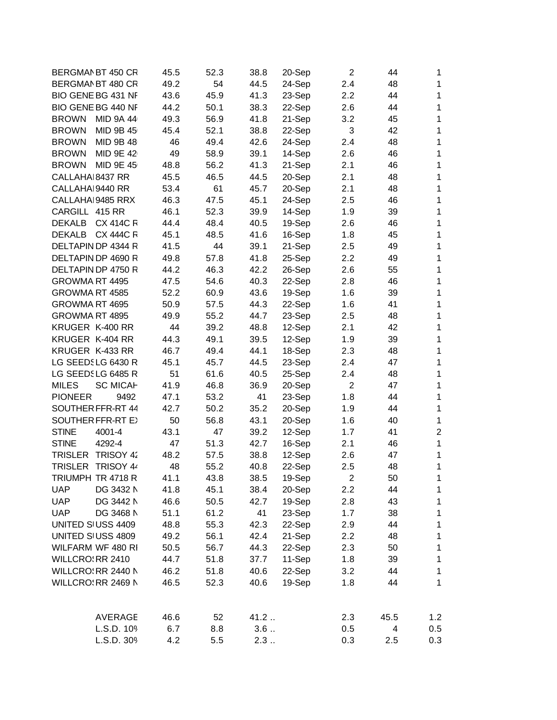| BERGMAN BT 450 CR        |                  | 45.5 | 52.3 | 38.8 | 20-Sep | $\overline{2}$   | 44   | 1              |
|--------------------------|------------------|------|------|------|--------|------------------|------|----------------|
| BERGMAN BT 480 CR        |                  | 49.2 | 54   | 44.5 | 24-Sep | 2.4              | 48   | 1              |
| BIO GENE BG 431 NF       |                  | 43.6 | 45.9 | 41.3 | 23-Sep | $2.2\phantom{0}$ | 44   | 1              |
| BIO GENE BG 440 NF       |                  | 44.2 | 50.1 | 38.3 | 22-Sep | 2.6              | 44   | 1              |
| <b>BROWN</b>             | <b>MID 9A 44</b> | 49.3 | 56.9 | 41.8 | 21-Sep | 3.2              | 45   | 1              |
| <b>BROWN</b>             | MID 9B 45        | 45.4 | 52.1 | 38.8 | 22-Sep | 3                | 42   | 1              |
| <b>BROWN</b>             | MID 9B 48        | 46   | 49.4 | 42.6 | 24-Sep | 2.4              | 48   | 1              |
| <b>BROWN</b>             | MID 9E 42        | 49   | 58.9 | 39.1 | 14-Sep | 2.6              | 46   | 1              |
| <b>BROWN</b>             | MID 9E 45        | 48.8 | 56.2 | 41.3 | 21-Sep | 2.1              | 46   | 1              |
| CALLAHA 8437 RR          |                  | 45.5 | 46.5 | 44.5 | 20-Sep | 2.1              | 48   | 1              |
| CALLAHAI 9440 RR         |                  | 53.4 | 61   | 45.7 | 20-Sep | 2.1              | 48   | 1              |
| CALLAHAI 9485 RRX        |                  | 46.3 | 47.5 | 45.1 | 24-Sep | 2.5              | 46   | 1              |
| CARGILL 415 RR           |                  | 46.1 | 52.3 | 39.9 | 14-Sep | 1.9              | 39   | 1              |
| DEKALB CX 414C R         |                  | 44.4 | 48.4 | 40.5 | 19-Sep | 2.6              | 46   | 1              |
| DEKALB CX 444C R         |                  | 45.1 | 48.5 | 41.6 | 16-Sep | 1.8              | 45   | 1              |
| DELTAPIN DP 4344 R       |                  | 41.5 | 44   | 39.1 | 21-Sep | 2.5              | 49   | 1              |
| DELTAPIN DP 4690 R       |                  | 49.8 | 57.8 | 41.8 | 25-Sep | 2.2              | 49   | 1              |
| DELTAPIN DP 4750 R       |                  | 44.2 | 46.3 | 42.2 | 26-Sep | 2.6              | 55   | 1              |
| GROWMA RT 4495           |                  | 47.5 | 54.6 | 40.3 | 22-Sep | 2.8              | 46   | 1              |
| GROWMA RT 4585           |                  | 52.2 | 60.9 | 43.6 | 19-Sep | 1.6              | 39   | 1              |
| GROWMA RT 4695           |                  | 50.9 | 57.5 | 44.3 | 22-Sep | 1.6              | 41   | 1              |
| GROWMA RT 4895           |                  | 49.9 | 55.2 | 44.7 | 23-Sep | 2.5              | 48   | 1              |
| KRUGER K-400 RR          |                  | 44   | 39.2 | 48.8 | 12-Sep | 2.1              | 42   | 1              |
| KRUGER K-404 RR          |                  | 44.3 | 49.1 | 39.5 | 12-Sep | 1.9              | 39   | 1              |
| KRUGER K-433 RR          |                  | 46.7 | 49.4 | 44.1 | 18-Sep |                  | 48   | 1              |
| LG SEEDSLG 6430 R        |                  | 45.1 | 45.7 |      |        | 2.3              | 47   | 1              |
|                          |                  |      |      | 44.5 | 23-Sep | 2.4              |      |                |
| LG SEEDSLG 6485 R        |                  | 51   | 61.6 | 40.5 | 25-Sep | 2.4              | 48   | 1              |
| <b>MILES</b>             | <b>SC MICAH</b>  | 41.9 | 46.8 | 36.9 | 20-Sep | $\overline{2}$   | 47   | 1              |
| <b>PIONEER</b>           | 9492             | 47.1 | 53.2 | 41   | 23-Sep | 1.8              | 44   | 1              |
| SOUTHER FFR-RT 44        |                  | 42.7 | 50.2 | 35.2 | 20-Sep | 1.9              | 44   | 1              |
| <b>SOUTHER FFR-RT E)</b> |                  | 50   | 56.8 | 43.1 | 20-Sep | 1.6              | 40   | 1              |
| <b>STINE</b>             | 4001-4           | 43.1 | 47   | 39.2 | 12-Sep | 1.7              | 41   | $\overline{2}$ |
| <b>STINE</b>             | 4292-4           | 47   | 51.3 | 42.7 | 16-Sep | 2.1              | 46   | $\mathbf{1}$   |
| TRISLER TRISOY 42        |                  | 48.2 | 57.5 | 38.8 | 12-Sep | 2.6              | 47   | 1              |
| TRISLER TRISOY 44        |                  | 48   | 55.2 | 40.8 | 22-Sep | 2.5              | 48   | 1              |
| TRIUMPH TR 4718 R        |                  | 41.1 | 43.8 | 38.5 | 19-Sep | 2                | 50   | 1              |
| <b>UAP</b>               | DG 3432 N        | 41.8 | 45.1 | 38.4 | 20-Sep | 2.2              | 44   | 1              |
| <b>UAP</b>               | DG 3442 N        | 46.6 | 50.5 | 42.7 | 19-Sep | 2.8              | 43   | 1              |
| <b>UAP</b>               | DG 3468 N        | 51.1 | 61.2 | 41   | 23-Sep | 1.7              | 38   | 1              |
| UNITED SIUSS 4409        |                  | 48.8 | 55.3 | 42.3 | 22-Sep | 2.9              | 44   | $\mathbf{1}$   |
| UNITED SIUSS 4809        |                  | 49.2 | 56.1 | 42.4 | 21-Sep | 2.2              | 48   | $\mathbf{1}$   |
| WILFARM WF 480 RI        |                  | 50.5 | 56.7 | 44.3 | 22-Sep | 2.3              | 50   | $\mathbf{1}$   |
| WILLCRO: RR 2410         |                  | 44.7 | 51.8 | 37.7 | 11-Sep | 1.8              | 39   | $\mathbf{1}$   |
| WILLCRO RR 2440 N        |                  | 46.2 | 51.8 | 40.6 | 22-Sep | 3.2              | 44   | $\mathbf 1$    |
| WILLCRO RR 2469 N        |                  | 46.5 | 52.3 | 40.6 | 19-Sep | 1.8              | 44   | 1              |
|                          | <b>AVERAGE</b>   | 46.6 | 52   | 41.2 |        | 2.3              | 45.5 | 1.2            |
|                          | L.S.D. 109       | 6.7  | 8.8  | 3.6  |        | 0.5              | 4    | 0.5            |
|                          | L.S.D. 309       | 4.2  | 5.5  | 2.3  |        | 0.3              | 2.5  | 0.3            |
|                          |                  |      |      |      |        |                  |      |                |